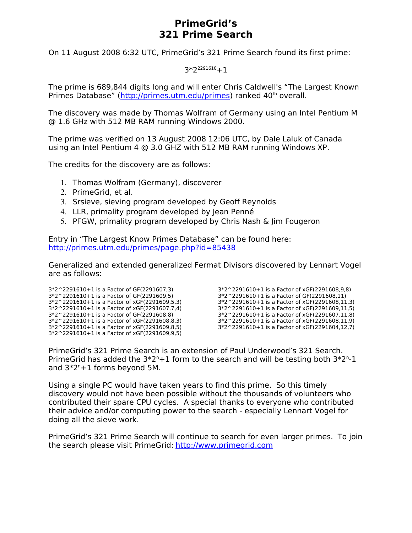## **PrimeGrid's 321 Prime Search**

On 11 August 2008 6:32 UTC, PrimeGrid's 321 Prime Search found its first prime:

#### 3\*2<sup>2291610</sup>+1

The prime is 689,844 digits long and will enter Chris Caldwell's "The Largest Known Primes Database" [\(http://primes.utm.edu/primes\)](http://primes.utm.edu/primes) ranked 40<sup>th</sup> overall.

The discovery was made by Thomas Wolfram of Germany using an Intel Pentium M @ 1.6 GHz with 512 MB RAM running Windows 2000.

The prime was verified on 13 August 2008 12:06 UTC, by Dale Laluk of Canada using an Intel Pentium 4 @ 3.0 GHZ with 512 MB RAM running Windows XP.

The credits for the discovery are as follows:

- 1. Thomas Wolfram (Germany), discoverer
- 2. PrimeGrid, et al.
- 3. Srsieve, sieving program developed by Geoff Reynolds
- 4. LLR, primality program developed by Jean Penné
- 5. PFGW, primality program developed by Chris Nash & Jim Fougeron

Entry in "The Largest Know Primes Database" can be found here: [http://primes.utm.edu/primes/page.php?id=85438](http://primes.utm.edu/primes/page.php?id=84769)

Generalized and extended generalized Fermat Divisors discovered by Lennart Vogel are as follows:

3\*2^2291610+1 is a Factor of GF(2291607,3) 3\*2^2291610+1 is a Factor of GF(2291609,5) 3\*2^2291610+1 is a Factor of xGF(2291609,5,3) 3\*2^2291610+1 is a Factor of xGF(2291607,7,4) 3\*2^2291610+1 is a Factor of GF(2291608,8) 3\*2^2291610+1 is a Factor of xGF(2291608,8,3) 3\*2^2291610+1 is a Factor of xGF(2291609,8,5) 3\*2^2291610+1 is a Factor of xGF(2291609,9,5)

3\*2^2291610+1 is a Factor of xGF(2291608,9,8) 3\*2^2291610+1 is a Factor of GF(2291608,11) 3\*2^2291610+1 is a Factor of xGF(2291608,11,3) 3\*2^2291610+1 is a Factor of xGF(2291609,11,5) 3\*2^2291610+1 is a Factor of xGF(2291607,11,8) 3\*2^2291610+1 is a Factor of xGF(2291608,11,9) 3\*2^2291610+1 is a Factor of xGF(2291604,12,7)

PrimeGrid's 321 Prime Search is an extension of Paul Underwood's 321 Search. PrimeGrid has added the  $3*2^n+1$  form to the search and will be testing both  $3*2^n-1$ and  $3*2^n+1$  forms beyond 5M.

Using a single PC would have taken years to find this prime. So this timely discovery would not have been possible without the thousands of volunteers who contributed their spare CPU cycles. A special thanks to everyone who contributed their advice and/or computing power to the search - especially Lennart Vogel for doing all the sieve work.

PrimeGrid's 321 Prime Search will continue to search for even larger primes. To join the search please visit PrimeGrid: [http://www.primegrid.com](http://www.primegrid.com/)